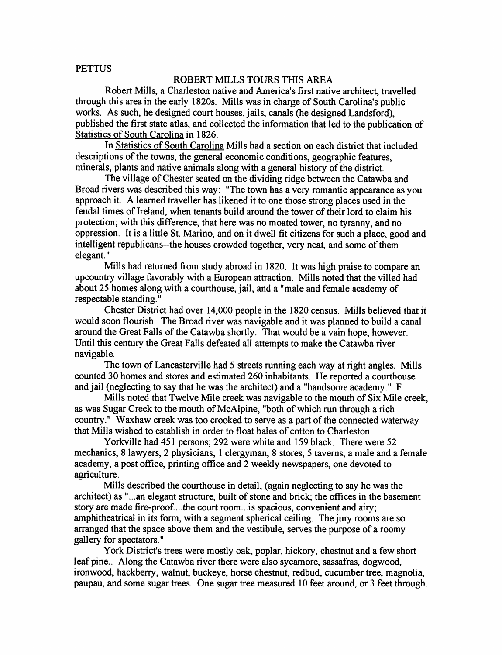## **PETTUS**

## ROBERT MILLS TOURS THIS AREA

Robert Mills, a Charleston native and America's first native architect, travelled through this area in the early 1820s. Mills was in charge of South Carolina's public works. As such, he designed court houses, jails, canals (he designed Landsford), published the first state atlas, and collected the information that led to the publication of Statistics of South Carolina in 1826.

In Statistics of South Carolina Mills had a section on each district that included descriptions of the towns, the general economic conditions, geographic features, minerals, plants and native animals along with a general history of the district.

The village of Chester seated on the dividing ridge between the Catawba and Broad rivers was described this way: "The town has a very romantic appearance as you approach it. A learned traveller has likened it to one those strong places used in the feudal times of Ireland, when tenants build around the tower of their lord to claim his protection; with this difference, that here was no moated tower, no tyranny, and no oppression. It is a little St. Marino, and on it dwell fit citizens for such a place, good and intelligent republicans—the houses crowded together, very neat, and some of them elegant."

Mills had returned from study abroad in 1820. It was high praise to compare an upcountry village favorably with a European attraction. Mills noted that the villed had about 25 homes along with a courthouse, jail, and a "male and female academy of respectable standing."

Chester District had over 14,000 people in the 1820 census. Mills believed that it would soon flourish. The Broad river was navigable and it was planned to build a canal around the Great Falls of the Catawba shortly. That would be a vain hope, however. Until this century the Great Falls defeated all attempts to make the Catawba river navigable.

The town of Lancasterville had 5 streets running each way at right angles. Mills counted 30 homes and stores and estimated 260 inhabitants. He reported a courthouse and jail (neglecting to say that he was the architect) and a "handsome academy." F

Mills noted that Twelve Mile creek was navigable to the mouth of Six Mile creek, as was Sugar Creek to the mouth of McAlpine, "both of which run through a rich country." Waxhaw creek was too crooked to serve as a part of the connected waterway that Mills wished to establish in order to float bales of cotton to Charleston.

Yorkville had 451 persons; 292 were white and 159 black. There were 52 mechanics, 8 lawyers, 2 physicians, 1 clergyman, 8 stores, 5 taverns, a male and a female academy, a post office, printing office and 2 weekly newspapers, one devoted to agriculture.

Mills described the courthouse in detail, (again neglecting to say he was the architect) as "...an elegant structure, built of stone and brick; the offices in the basement story are made fire-proof....the court room...is spacious, convenient and airy; amphitheatrical in its form, with a segment spherical ceiling. The jury rooms are so arranged that the space above them and the vestibule, serves the purpose of a roomy gallery for spectators."

York District's trees were mostly oak, poplar, hickory, chestnut and a few short leaf pine.. Along the Catawba river there were also sycamore, sassafras, dogwood, ironwood, hackberry, walnut, buckeye, horse chestnut, redbud, cucumber tree, magnolia, paupau, and some sugar trees. One sugar tree measured 10 feet around, or 3 feet through.